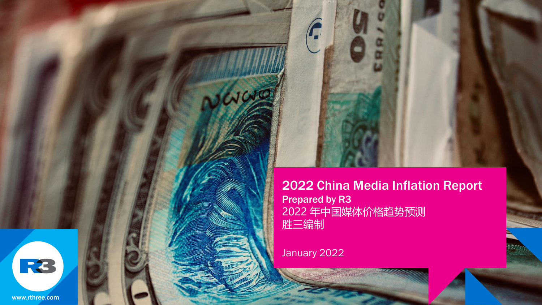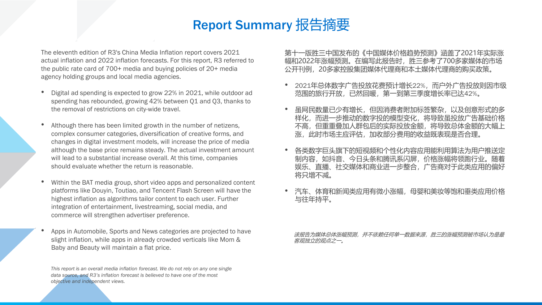## Report Summary 报告摘要

The eleventh edition of R3's China Media Inflation report covers 2021 actual inflation and 2022 inflation forecasts. For this report, R3 referred to the public rate card of 700+ media and buying policies of 20+ media agency holding groups and local media agencies.

- Digital ad spending is expected to grow 22% in 2021, while outdoor ad spending has rebounded, growing 42% between Q1 and Q3, thanks to the removal of restrictions on city-wide travel.
- Although there has been limited growth in the number of netizens, complex consumer categories, diversification of creative forms, and changes in digital investment models, will increase the price of media although the base price remains steady. The actual investment amount will lead to a substantial increase overall. At this time, companies should evaluate whether the return is reasonable.
- Within the BAT media group, short video apps and personalized content platforms like Douyin, Toutiao, and Tencent Flash Screen will have the highest inflation as algorithms tailor content to each user. Further integration of entertainment, livestreaming, social media, and commerce will strengthen advertiser preference.
- Apps in Automobile, Sports and News categories are projected to have slight inflation, while apps in already crowded verticals like Mom & Baby and Beauty will maintain a flat price.

*This report is an overall media inflation forecast. We do not rely on any one single data source, and R3's inflation forecast is believed to have one of the most objective and independent views.*

第十一版胜三中国发布的《中国媒体价格趋势预测》涵盖了2021年实际涨 幅和2022年涨幅预测。在编写此报告时,胜三参考了700多家媒体的市场 公开刊例,20多家控股集团媒体代理商和本土媒体代理商的购买政策。

- 2021年总体数字广告投放花费预计增长22%,而户外广告投放则因市级 范围的旅行开放,已然回暖,第一到第三季度增长率已达42%。
- 虽网民数量已少有增长,但因消费者附加标签繁杂,以及创意形式的多 样化,而进一步推动的数字投的模型变化,将导致虽投放广告基础价格 不高,但重重叠加人群包后的实际投放金额,将导致总体金额的大幅上 涨,此时市场主应评估,加收部分费用的收益既表现是否合理。
- 各类数字巨头旗下的短视频和个性化内容应用能利用算法为用户推送定 制内容,如抖音、今日头条和腾讯系闪屏,价格涨幅将领跑行业。随着 娱乐、直播、社交媒体和商业进一步整合,广告商对于此类应用的偏好 将只增不减。
- 汽车、体育和新闻类应用有微小涨幅,母婴和美妆等饱和垂类应用价格 与往年持平。

该报告为媒体总体涨幅预测,并不依赖任何单一数据来源,胜三的涨幅预测被市场认为是最 客观独立的观点之一。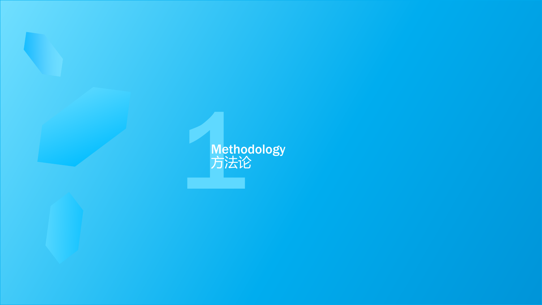1 Methodology 方法论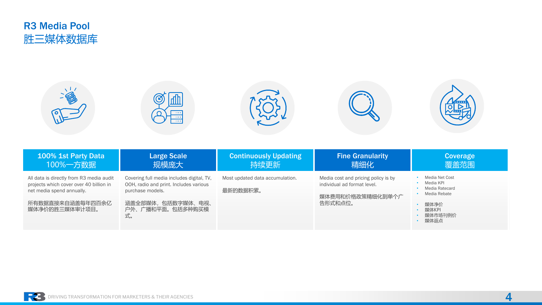

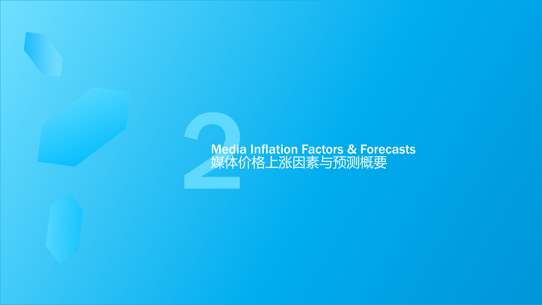# **Example 2**<br><br><br><br><br><br><br><br><br><br><br><br><br><br><br><br><br><br><br><br><br><br><br><br><br><br><br><br><br><br><br><br><br> Media Inflation Factors & Forecasts 媒体价格上涨因素与预测概要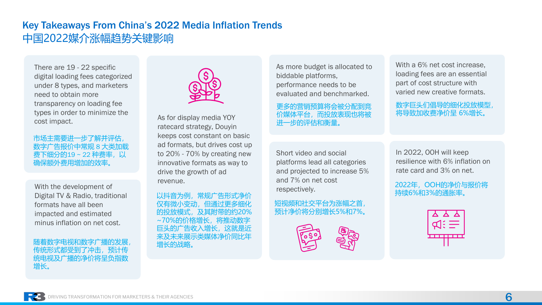## Key Takeaways From China's 2022 Media Inflation Trends 中国2022媒介涨幅趋势关键影响

There are 19 - 22 specific digital loading fees categorized under 8 types, and marketers need to obtain more transparency on loading fee types in order to minimize the cost impact.

市场主需要进一步了解并评估, 数字广告报价中常规 8 大类加载 费下细分的19~22 种费率,以 确保额外费用增加的效率。

With the development of Digital TV & Radio, traditional formats have all been impacted and estimated minus inflation on net cost.

随着数字电视和数字广播的发展 传统形式都受到了冲击,预计传 统电视及广播的净价将呈负指数 增长。



As for display media YOY ratecard strategy, Douyin keeps cost constant on basic ad formats, but drives cost up to 20% - 70% by creating new innovative formats as way to drive the growth of ad revenue.

以抖音为例, 常规广告形式净价 伯诵过申多细化 及其附带的约20% 6的价格增长,将推动数字 的广告收入增长,这就是沂 来及未来展示类媒体净价同比年 增长的战略。

As more budget is allocated to biddable platforms, performance needs to be evaluated and benchmarked.

更多的营销预算将会被分配到竞 价媒体平台,而投放表现也将被 进一步的评估和衡量。

With a 6% net cost increase, loading fees are an essential part of cost structure with varied new creative formats.

数字巨头们倡导的细化投放模型, 将导致加收费净价呈 6%增长。

Short video and social platforms lead all categories and projected to increase 5% and 7% on net cost respectively.

短视频和社交平台为涨幅之首, 预计净价将分别增长5%和7%。



In 2022, OOH will keep resilience with 6% inflation on rate card and 3% on net.

2022年,OOH的净价与报价将 持续6%和3%的通胀率。

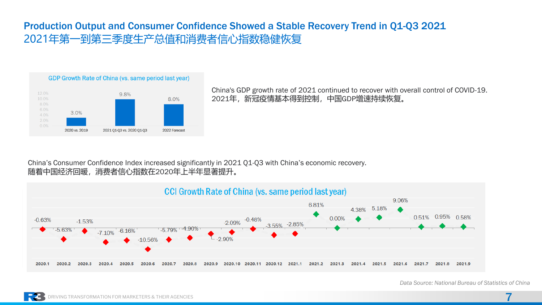## Production Output and Consumer Confidence Showed a Stable Recovery Trend in Q1-Q3 2021 2021年第一到第三季度生产总值和消费者信心指数稳健恢复



China's GDP growth rate of 2021 continued to recover with overall control of COVID-19. 2021年,新冠疫情基本得到控制,中国GDP增速持续恢复。

#### China's Consumer Confidence Index increased significantly in 2021 Q1-Q3 with China's economic recovery. 随着中国经济回暖,消费者信心指数在2020年上半年显著提升。



*Data Source: National Bureau of Statistics of China*

7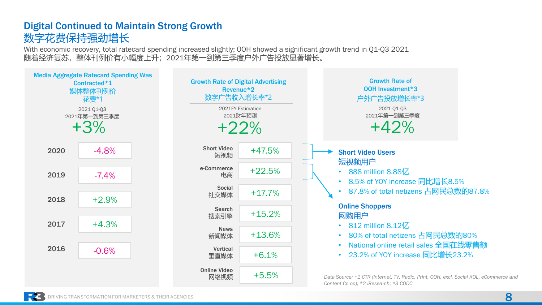## Digital Continued to Maintain Strong Growth 数字花费保持强劲增长

With economic recovery, total ratecard spending increased slightly; OOH showed a significant growth trend in Q1-Q3 2021 随着经济复苏,整体刊例价有小幅度上升;2021年第一到第三季度户外广告投放显著增长。

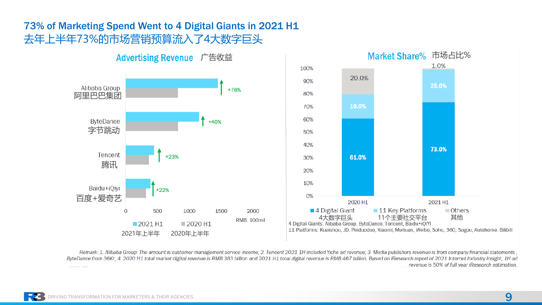## 73% of Marketing Spend Went to 4 Digital Giants in 2021 H1 去年上半年73%的市场营销预算流入了4大数字巨头



Remark: 1. Alibaba Group: The amount is customer management service income: 2. Tencent 2021 1H included Yiche ad revenue: 3. Media publishers revenue is from company financial statements, ByteDance from 36Kr; 4, 2020 H1 total market digital revenue is RMB 383 billion and 2021 H1 total digital revenue is RMB 467 billion. Based on iResearch report of 2021 Internet Industry Insight, 1H ad revenue is 50% of full year iResearch estimation.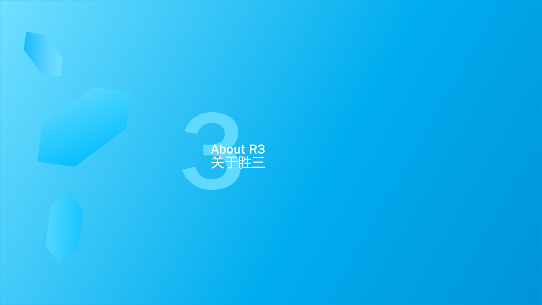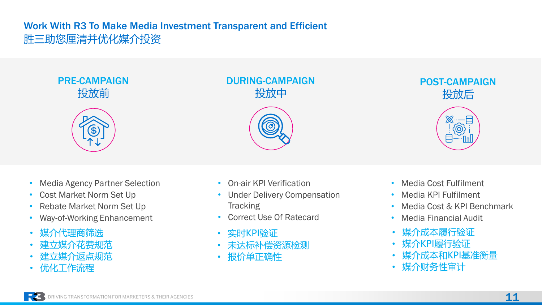## Work With R3 To Make Media Investment Transparent and Efficient 胜三助您厘清并优化媒介投资

PRE-CAMPAIGN 投放前



### DURING-CAMPAIGN 投放中



POST-CAMPAIGN 投放后



- Media Agency Partner Selection
- Cost Market Norm Set Up
- Rebate Market Norm Set Up
- Way-of-Working Enhancement
- 媒介代理商筛选
- 建立媒介花费规范
- 建立媒介返点规范
- 优化工作流程
- On-air KPI Verification
- Under Delivery Compensation **Tracking**
- Correct Use Of Ratecard
- 实时KPI验证
- 未达标补偿资源检测
- 报价单正确性
- Media Cost Fulfilment
- Media KPI Fulfilment
- Media Cost & KPI Benchmark
- Media Financial Audit
- 媒介成本履行验证
- 媒介KPI履行验证
- 媒介成本和KPI基准衡量
- 媒介财务性审计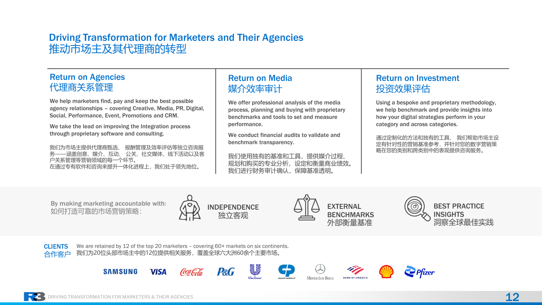### Driving Transformation for Marketers and Their Agencies 推动市场主及其代理商的转型

#### Return on Agencies 代理商关系管理

We help marketers find, pay and keep the best possible agency relationships – covering Creative, Media, PR, Digital, Social, Performance, Event, Promotions and CRM.

We take the lead on improving the Integration process through proprietary software and consulting.

我们为市场主提供代理商甄选、 报酬管理及效率评估等独立咨询服 ·涵盖创意、媒介、互动、 公关、社交媒体、线下活动以及客 户关系管理等营销领域的每一个环节。 在通过专有软件和咨询来提升一体化进程上,我们处于领先地位。

### Return on Media 媒介效率审计

We offer professional analysis of the media process, planning and buying with proprietary benchmarks and tools to set and measure performance.

We conduct financial audits to validate and benchmark transparency.

我们使用独有的基准和工具,提供媒介过程、 规划和购买的专业分析,设定和衡量商业绩效。 我们进行财务审计确认,保障基准透明。

#### Return on Investment 投资效果评估

Using a bespoke and proprietary methodology, we help benchmark and provide insights into how your digital strategies perform in your category and across categories.

通过定制化的方法和独有的工具, 我们帮助市场主设 定有针对性的营销基准参考,并针对您的数字营销策 略在您的类别和跨类别中的表现提供咨询服务。

By making marketing accountable with: 如何打造可靠的市场营销策略:





BEST PRACTICE **INSIGHTS** 洞察全球最佳实践



We are retained by 12 of the top 20 marketers - covering 60+ markets on six continents. 我们为20位头部市场主中的12位提供相关服务,覆盖全球六大洲60余个主要市场。

**VISA** 









**SAMSUNG**